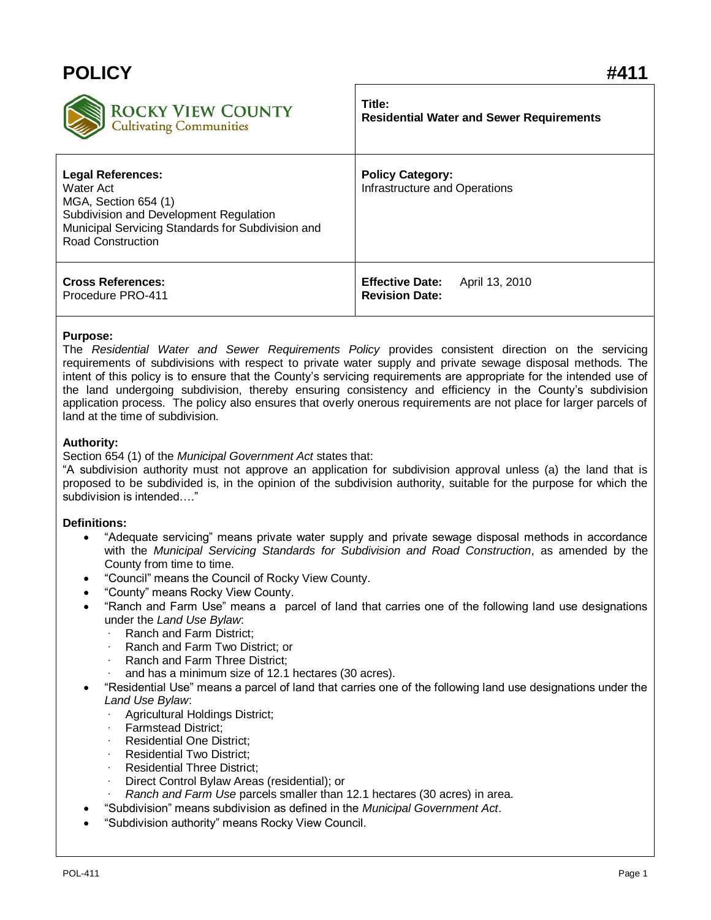| <b>POLICY</b>                                                                                                                                                                            | #411                                                              |
|------------------------------------------------------------------------------------------------------------------------------------------------------------------------------------------|-------------------------------------------------------------------|
| <b>ROCKY VIEW COUNTY</b><br><b>Cultivating Communities</b>                                                                                                                               | Title:<br><b>Residential Water and Sewer Requirements</b>         |
| <b>Legal References:</b><br>Water Act<br>MGA, Section 654 (1)<br>Subdivision and Development Regulation<br>Municipal Servicing Standards for Subdivision and<br><b>Road Construction</b> | <b>Policy Category:</b><br>Infrastructure and Operations          |
| <b>Cross References:</b><br>Procedure PRO-411                                                                                                                                            | <b>Effective Date:</b><br>April 13, 2010<br><b>Revision Date:</b> |

## **Purpose:**

The *Residential Water and Sewer Requirements Policy* provides consistent direction on the servicing requirements of subdivisions with respect to private water supply and private sewage disposal methods. The intent of this policy is to ensure that the County's servicing requirements are appropriate for the intended use of the land undergoing subdivision, thereby ensuring consistency and efficiency in the County's subdivision application process. The policy also ensures that overly onerous requirements are not place for larger parcels of land at the time of subdivision.

## **Authority:**

Section 654 (1) of the *Municipal Government Act* states that:

"A subdivision authority must not approve an application for subdivision approval unless (a) the land that is proposed to be subdivided is, in the opinion of the subdivision authority, suitable for the purpose for which the subdivision is intended…."

## **Definitions:**

- "Adequate servicing" means private water supply and private sewage disposal methods in accordance with the *Municipal Servicing Standards for Subdivision and Road Construction*, as amended by the County from time to time.
- "Council" means the Council of Rocky View County.
- "County" means Rocky View County.
- "Ranch and Farm Use" means a parcel of land that carries one of the following land use designations under the *Land Use Bylaw*:
	- Ranch and Farm District;
	- Ranch and Farm Two District: or
	- Ranch and Farm Three District:
	- and has a minimum size of 12.1 hectares (30 acres).
- "Residential Use" means a parcel of land that carries one of the following land use designations under the *Land Use Bylaw*:
	- Agricultural Holdings District;
	- Farmstead District:
	- Residential One District:
	- Residential Two District;
	- Residential Three District;
	- · Direct Control Bylaw Areas (residential); or
	- · *Ranch and Farm Use* parcels smaller than 12.1 hectares (30 acres) in area.
- "Subdivision" means subdivision as defined in the *Municipal Government Act*.
- "Subdivision authority" means Rocky View Council.